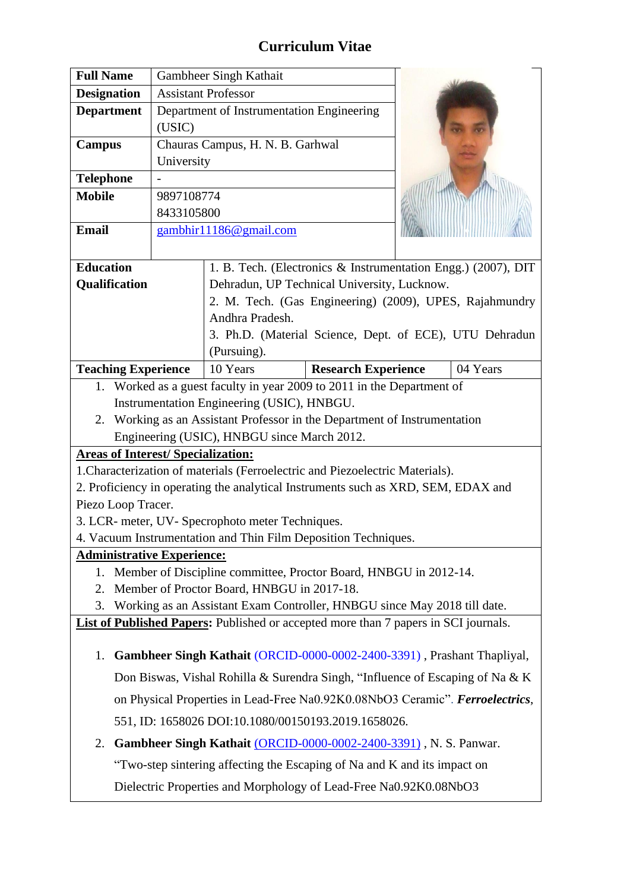## **Curriculum Vitae**

| <b>Full Name</b>                                                                                                        |                                                                   | Gambheer Singh Kathait                                        |          |
|-------------------------------------------------------------------------------------------------------------------------|-------------------------------------------------------------------|---------------------------------------------------------------|----------|
| <b>Designation</b>                                                                                                      | <b>Assistant Professor</b>                                        |                                                               |          |
| <b>Department</b>                                                                                                       | Department of Instrumentation Engineering<br>(USIC)               |                                                               |          |
| <b>Campus</b>                                                                                                           | Chauras Campus, H. N. B. Garhwal                                  |                                                               |          |
|                                                                                                                         | University                                                        |                                                               |          |
| <b>Telephone</b>                                                                                                        |                                                                   |                                                               |          |
| <b>Mobile</b>                                                                                                           | 9897108774                                                        |                                                               |          |
|                                                                                                                         | 8433105800                                                        |                                                               |          |
| <b>Email</b>                                                                                                            | gambhir11186@gmail.com                                            |                                                               |          |
| <b>Education</b>                                                                                                        |                                                                   | 1. B. Tech. (Electronics & Instrumentation Engg.) (2007), DIT |          |
| Qualification                                                                                                           |                                                                   | Dehradun, UP Technical University, Lucknow.                   |          |
|                                                                                                                         |                                                                   | 2. M. Tech. (Gas Engineering) (2009), UPES, Rajahmundry       |          |
|                                                                                                                         |                                                                   | Andhra Pradesh.                                               |          |
|                                                                                                                         |                                                                   | 3. Ph.D. (Material Science, Dept. of ECE), UTU Dehradun       |          |
|                                                                                                                         |                                                                   | (Pursuing).                                                   |          |
| <b>Teaching Experience</b>                                                                                              |                                                                   | <b>Research Experience</b><br>10 Years                        | 04 Years |
| 1. Worked as a guest faculty in year 2009 to 2011 in the Department of<br>Instrumentation Engineering (USIC), HNBGU.    |                                                                   |                                                               |          |
| 2. Working as an Assistant Professor in the Department of Instrumentation                                               |                                                                   |                                                               |          |
| Engineering (USIC), HNBGU since March 2012.                                                                             |                                                                   |                                                               |          |
| <b>Areas of Interest/Specialization:</b>                                                                                |                                                                   |                                                               |          |
| 1. Characterization of materials (Ferroelectric and Piezoelectric Materials).                                           |                                                                   |                                                               |          |
| 2. Proficiency in operating the analytical Instruments such as XRD, SEM, EDAX and                                       |                                                                   |                                                               |          |
| Piezo Loop Tracer.                                                                                                      |                                                                   |                                                               |          |
| 3. LCR- meter, UV- Specrophoto meter Techniques.                                                                        |                                                                   |                                                               |          |
| 4. Vacuum Instrumentation and Thin Film Deposition Techniques.                                                          |                                                                   |                                                               |          |
| <b>Administrative Experience:</b>                                                                                       |                                                                   |                                                               |          |
| 1. Member of Discipline committee, Proctor Board, HNBGU in 2012-14.<br>Member of Proctor Board, HNBGU in 2017-18.<br>2. |                                                                   |                                                               |          |
| Working as an Assistant Exam Controller, HNBGU since May 2018 till date.<br>3.                                          |                                                                   |                                                               |          |
| <b>List of Published Papers:</b> Published or accepted more than 7 papers in SCI journals.                              |                                                                   |                                                               |          |
|                                                                                                                         |                                                                   |                                                               |          |
| Gambheer Singh Kathait (ORCID-0000-0002-2400-3391), Prashant Thapliyal,<br>1.                                           |                                                                   |                                                               |          |
| Don Biswas, Vishal Rohilla & Surendra Singh, "Influence of Escaping of Na & K                                           |                                                                   |                                                               |          |
| on Physical Properties in Lead-Free Na0.92K0.08NbO3 Ceramic". Ferroelectrics,                                           |                                                                   |                                                               |          |
| 551, ID: 1658026 DOI:10.1080/00150193.2019.1658026.                                                                     |                                                                   |                                                               |          |
| Gambheer Singh Kathait (ORCID-0000-0002-2400-3391), N. S. Panwar.<br>2.                                                 |                                                                   |                                                               |          |
| "Two-step sintering affecting the Escaping of Na and K and its impact on                                                |                                                                   |                                                               |          |
|                                                                                                                         | Dielectric Properties and Morphology of Lead-Free Na0.92K0.08NbO3 |                                                               |          |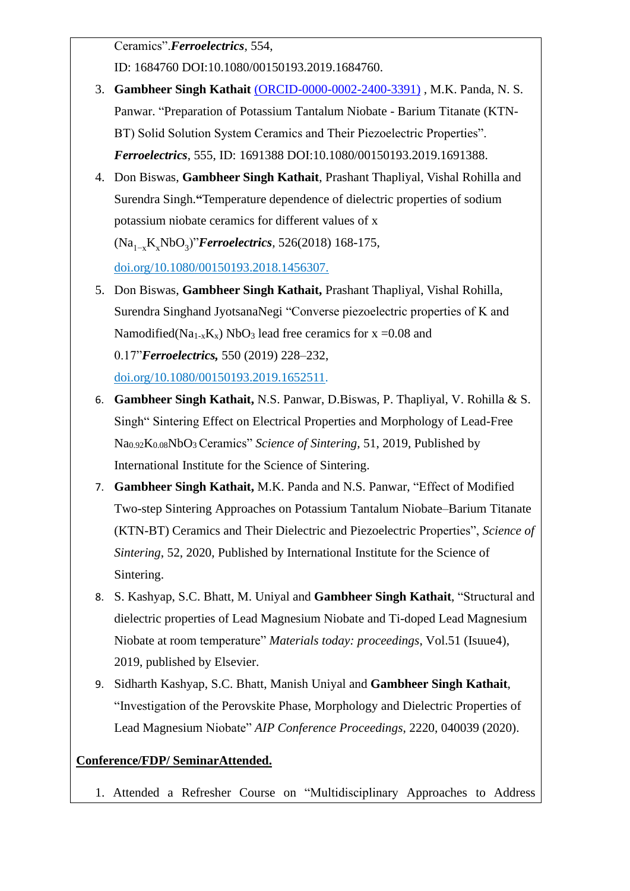Ceramics".*Ferroelectrics*, 554,

ID: 1684760 DOI:10.1080/00150193.2019.1684760.

- 3. **Gambheer Singh Kathait** [\(ORCID-0000-0002-2400-3391\)](http://orcid.org/0000-0002-2400-3391) , M.K. Panda, N. S. Panwar. "Preparation of Potassium Tantalum Niobate - Barium Titanate (KTN-BT) Solid Solution System Ceramics and Their Piezoelectric Properties". *Ferroelectrics*, 555, ID: 1691388 DOI:10.1080/00150193.2019.1691388.
- 4. Don Biswas, **Gambheer Singh Kathait**, Prashant Thapliyal, Vishal Rohilla and Surendra Singh.**"**Temperature dependence of dielectric properties of sodium potassium niobate ceramics for different values of x (Na1−xKxNbO<sup>3</sup> )"*Ferroelectrics,* 526(2018) 168-175,

doi.org/10.1080/00150193.2018.1456307.

- 5. Don Biswas, **Gambheer Singh Kathait,** Prashant Thapliyal, Vishal Rohilla, Surendra Singhand JyotsanaNegi "Converse piezoelectric properties of K and Namodified(Na<sub>1-x</sub>K<sub>x</sub>) NbO<sub>3</sub> lead free ceramics for  $x = 0.08$  and 0.17"*Ferroelectrics,* 550 (2019) 228–232, doi.org/10.1080/00150193.2019.1652511.
- 6. **Gambheer Singh Kathait,** N.S. Panwar, D.Biswas, P. Thapliyal, V. Rohilla & S. Singh" Sintering Effect on Electrical Properties and Morphology of Lead-Free Na0.92K0.08NbO<sup>3</sup> Ceramics" *Science of Sintering,* 51, 2019, Published by International Institute for the Science of Sintering.
- 7. **Gambheer Singh Kathait,** M.K. Panda and N.S. Panwar, "Effect of Modified Two-step Sintering Approaches on Potassium Tantalum Niobate–Barium Titanate (KTN-BT) Ceramics and Their Dielectric and Piezoelectric Properties", *Science of Sintering*, 52, 2020, Published by International Institute for the Science of Sintering.
- 8. S. Kashyap, S.C. Bhatt, M. Uniyal and **Gambheer Singh Kathait**, "Structural and dielectric properties of Lead Magnesium Niobate and Ti-doped Lead Magnesium Niobate at room temperature" *Materials today: proceedings*, Vol.51 (Isuue4), 2019, published by Elsevier.
- 9. Sidharth Kashyap, S.C. Bhatt, Manish Uniyal and **Gambheer Singh Kathait**, "Investigation of the Perovskite Phase, Morphology and Dielectric Properties of Lead Magnesium Niobate" *AIP Conference Proceedings*, 2220, 040039 (2020).

## **Conference/FDP/ SeminarAttended.**

1. Attended a Refresher Course on "Multidisciplinary Approaches to Address